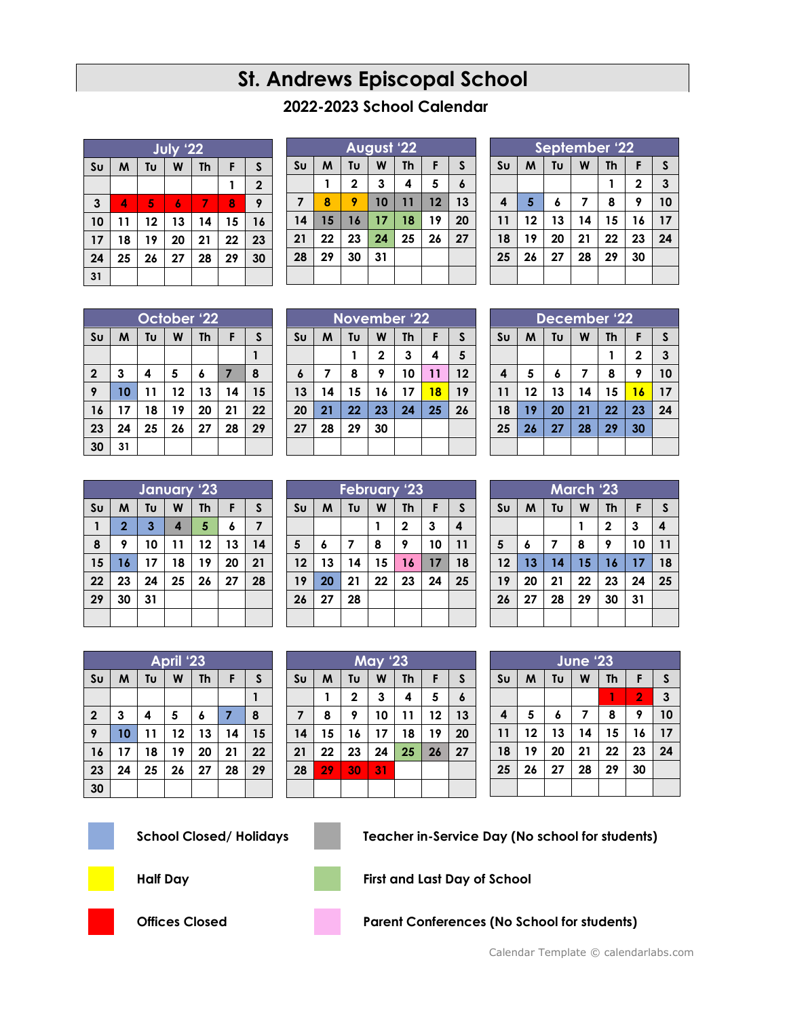## **St. Andrews Episcopal School**

## **2022-2023 School Calendar**

| July '22               |    |    |    |           |    |             |
|------------------------|----|----|----|-----------|----|-------------|
| $\mathsf{S}\mathsf{u}$ | M  | Tυ | W  | <b>Th</b> | F  | S           |
|                        |    |    |    |           | 1  | $\mathbf 2$ |
| $\mathbf{3}$           | 4  | 5  | 6  | 7         | 8  | 9           |
| 10                     | 11 | 12 | 13 | 14        | 15 | 16          |
| 17                     | 18 | 19 | 20 | 21        | 22 | 23          |
| 24                     | 25 | 26 | 27 | 28        | 29 | 30          |
| 31                     |    |    |    |           |    |             |

| August '22     |    |             |    |    |    |    |  |
|----------------|----|-------------|----|----|----|----|--|
| S <sub>U</sub> | M  | Tυ          | W  | Th | F  | S  |  |
|                | 1  | $\mathbf 2$ | 3  | 4  | 5  | 6  |  |
| $\overline{7}$ | 8  | 9           | 10 | 11 | 12 | 13 |  |
| 14             | 15 | 16          | 17 | 18 | 19 | 20 |  |
| 21             | 22 | 23          | 24 | 25 | 26 | 27 |  |
| 28             | 29 | 30          | 31 |    |    |    |  |
|                |    |             |    |    |    |    |  |

| September '22                   |    |    |    |    |              |              |  |
|---------------------------------|----|----|----|----|--------------|--------------|--|
| Tυ<br>W<br>Su<br><b>Th</b><br>M |    |    |    |    | F            | $\mathsf{s}$ |  |
|                                 |    |    |    |    | $\mathbf{2}$ | $\mathbf{3}$ |  |
| $\overline{\mathbf{4}}$         | 5  | 6  | 7  | 8  | 9            | 10           |  |
| 11                              | 12 | 13 | 14 | 15 | 16           | 17           |  |
| 18                              | 19 | 20 | 21 | 22 | 23           | 24           |  |
| 25                              | 26 | 27 | 28 | 29 | 30           |              |  |
|                                 |    |    |    |    |              |              |  |

|                | October '22 |    |    |           |    |    |  |  |
|----------------|-------------|----|----|-----------|----|----|--|--|
| S <sub>U</sub> | M           | Tu | W  | <b>Th</b> | F  | S  |  |  |
|                |             |    |    |           |    |    |  |  |
| $\mathbf{2}$   | 3           | 4  | 5  | 6         | 7  | 8  |  |  |
| 9              | 10          | 11 | 12 | 13        | 14 | 15 |  |  |
| 16             | 17          | 18 | 19 | 20        | 21 | 22 |  |  |
| 23             | 24          | 25 | 26 | 27        | 28 | 29 |  |  |
| 30             | 31          |    |    |           |    |    |  |  |

| <b>November '22</b> |    |    |              |           |    |    |
|---------------------|----|----|--------------|-----------|----|----|
| S <sub>U</sub>      | M  | Tυ | W            | <b>Th</b> | F  | S  |
|                     |    |    | $\mathbf{2}$ | 3         | 4  | 5  |
| $\pmb{6}$           | 7  | 8  | 9            | 10        | 11 | 12 |
| 13                  | 14 | 15 | 16           | 17        | 18 | 19 |
| 20                  | 21 | 22 | 23           | 24        | 25 | 26 |
| 27                  | 28 | 29 | 30           |           |    |    |
|                     |    |    |              |           |    |    |

| December '22 |                           |    |    |    |             |                         |  |
|--------------|---------------------------|----|----|----|-------------|-------------------------|--|
| Su           | Tu<br><b>Th</b><br>W<br>M |    |    |    |             | S                       |  |
|              |                           |    |    |    | $\mathbf 2$ | $\overline{\mathbf{3}}$ |  |
| 4            | 5                         | 6  | 7  | 8  | 9           | 10                      |  |
| 11           | 12                        | 13 | 14 | 15 | 16          | 17                      |  |
| 18           | 19                        | 20 | 21 | 22 | 23          | 24                      |  |
| 25           | 26                        | 27 | 28 | 29 | 30          |                         |  |
|              |                           |    |    |    |             |                         |  |

## **January '23**  $\mathbf{S}\mathbf{u}$  **M**  $\mathbf{T}\mathbf{u}$  **W**  $\mathbf{T}\mathbf{h}$  **F**  $\mathbf{S}$  **2 3 4 5 6 7 9 10 11 12 13 14 16 17 18 19 20 21 23 24 25 26 27 28 30 31**

| <b>February '23</b>    |    |    |    |              |    |    |
|------------------------|----|----|----|--------------|----|----|
| $\mathsf{S}\mathsf{u}$ | M  | Tu | W  | Th           | F  | S  |
|                        |    |    |    | $\mathbf{2}$ | 3  | 4  |
| 5                      | 6  | 7  | 8  | 9            | 10 | 11 |
| 12                     | 13 | 14 | 15 | 16           | 17 | 18 |
| 19                     | 20 | 21 | 22 | 23           | 24 | 25 |
| 26                     | 27 | 28 |    |              |    |    |
|                        |    |    |    |              |    |    |

| <b>March '23</b> |    |                |    |           |    |    |  |
|------------------|----|----------------|----|-----------|----|----|--|
| Su               | M  | Tu             | W  | <b>Th</b> | F  | S  |  |
|                  |    |                |    | 2         | 3  | 4  |  |
| $5\phantom{1}$   | 6  | $\overline{7}$ | 8  | 9         | 10 | 11 |  |
| 12               | 13 | 14             | 15 | 16        | 17 | 18 |  |
| 19               | 20 | 21             | 22 | 23        | 24 | 25 |  |
| 26               | 27 | 28             | 29 | 30        | 31 |    |  |
|                  |    |                |    |           |    |    |  |

| April '23      |    |    |    |           |    |    |
|----------------|----|----|----|-----------|----|----|
| S <sub>U</sub> | M  | Tυ | W  | <b>Th</b> | F  | S  |
|                |    |    |    |           |    |    |
| $\mathbf 2$    | 3  | 4  | 5  | 6         | 7  | 8  |
| 9              | 10 | 11 | 12 | 13        | 14 | 15 |
| 16             | 17 | 18 | 19 | 20        | 21 | 22 |
| 23             | 24 | 25 | 26 | 27        | 28 | 29 |
| 30             |    |    |    |           |    |    |

| <b>May '23</b> |    |             |    |           |    |    |
|----------------|----|-------------|----|-----------|----|----|
| S <sub>U</sub> | M  | Tυ          | W  | <b>Th</b> | F  | S  |
|                | 1  | $\mathbf 2$ | 3  | 4         | 5  | 6  |
| 7              | 8  | 9           | 10 | 11        | 12 | 13 |
| 14             | 15 | 16          | 17 | 18        | 19 | 20 |
| 21             | 22 | 23          | 24 | 25        | 26 | 27 |
| 28             | 29 | 30          | 31 |           |    |    |
|                |    |             |    |           |    |    |

| June '23       |                           |    |    |    |                |              |  |
|----------------|---------------------------|----|----|----|----------------|--------------|--|
| S <sub>U</sub> | Tυ<br>W<br><b>Th</b><br>M |    |    |    | F              | S            |  |
|                |                           |    |    |    | $\overline{2}$ | $\mathbf{3}$ |  |
| 4              | 5                         | 6  | 7  | 8  | 9              | 10           |  |
| 11             | 12                        | 13 | 14 | 15 | 16             | 17           |  |
| 18             | 19                        | 20 | 21 | 22 | 23             | 24           |  |
| 25             | 26                        | 27 | 28 | 29 | 30             |              |  |
|                |                           |    |    |    |                |              |  |







**School Closed/ Holidays Teacher in-Service Day (No school for students)**





**Half Day First and Last Day of School**





**Offices Closed Conferences (No School for students)**